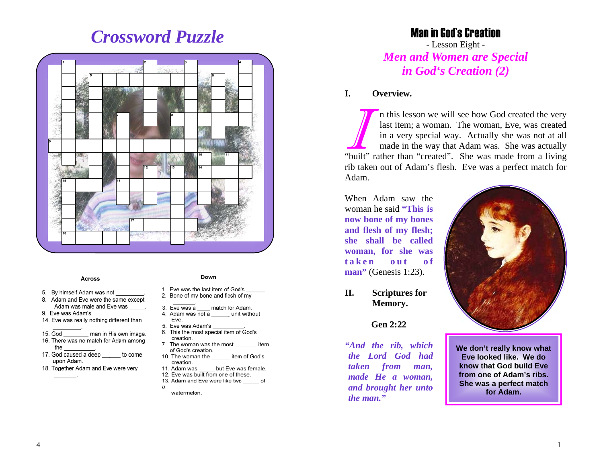# *Crossword Puzzle*



#### **Across**

- 5. By himself Adam was not
- 8. Adam and Eve were the same except Adam was male and Eve was
- 9. Eve was Adam's
- 14. Eve was really nothing different than
- $15.$  God man in His own image.
- 16. There was no match for Adam among the
- 17. God caused a deep \_\_ to come upon Adam.
- 18. Together Adam and Eve were very

#### Down

- 1. Eve was the last item of God's 2. Bone of my bone and flesh of  $\overline{my}$
- 
- 3. Eve was a \_\_\_\_ match for Adam.
- 4. Adam was  $\overline{not}$  a unit without Eve.
- 5. Eve was Adam's
- 6. This the most special item of God's creation.
- 7. The woman was the most item of God's creation.
- 10. The woman the item of God's creation.
- but Eve was female. 11. Adam was 12. Eve was built from one of these.
- 13. Adam and Eve were like two \_\_\_\_\_\_ of
- $\mathbf{a}$
- watermelon.

# Man in God's Creation

- Lesson Eight - *Men and Women are Special in God's Creation (2)*

#### **I. Overview.**

In this lesson we will see how God created the very last item; a woman. The woman, Eve, was created in a very special way. Actually she was not at all made in the way that Adam was. She was actually "built" rather than "created". She was made from a living rib taken out of Adam's flesh. Eve was a perfect match for Adam.

When Adam saw the woman he said **"This is now bone of my bones and flesh of my flesh; she shall be called woman, for she was <b>aken o<b>***<b>t</del><i><b>f* **man**" (Genesis 1:23).

**II. Scriptures for Memory.**

## **Gen 2:22**

*"And the rib, which the Lord God had taken from man, made He a woman, and brought her unto the man."* 



**We don't really know what Eve looked like. We do know that God build Eve from one of Adam's ribs. She was a perfect match for Adam.**